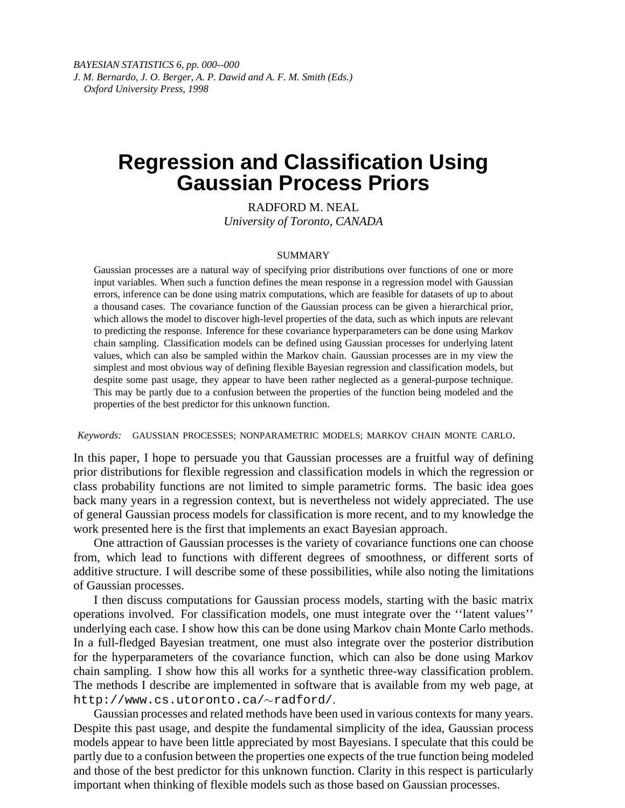# **Regression and Classification Using Gaussian Process Priors**

RADFORD M. NEAL *University of Toronto, CANADA*

#### SUMMARY

Gaussian processes are a natural way of specifying prior distributions over functions of one or more input variables. When such a function defines the mean response in a regression model with Gaussian errors, inference can be done using matrix computations, which are feasible for datasets of up to about a thousand cases. The covariance function of the Gaussian process can be given a hierarchical prior, which allows the model to discover high-level properties of the data, such as which inputs are relevant to predicting the response. Inference for these covariance hyperparameters can be done using Markov chain sampling. Classification models can be defined using Gaussian processes for underlying latent values, which can also be sampled within the Markov chain. Gaussian processes are in my view the simplest and most obvious way of defining flexible Bayesian regression and classification models, but despite some past usage, they appear to have been rather neglected as a general-purpose technique. This may be partly due to a confusion between the properties of the function being modeled and the properties of the best predictor for this unknown function.

*Keywords:* GAUSSIAN PROCESSES; NONPARAMETRIC MODELS; MARKOV CHAIN MONTE CARLO.

In this paper, I hope to persuade you that Gaussian processes are a fruitful way of defining prior distributions for flexible regression and classification models in which the regression or class probability functions are not limited to simple parametric forms. The basic idea goes back many years in a regression context, but is nevertheless not widely appreciated. The use of general Gaussian process models for classification is more recent, and to my knowledge the work presented here is the first that implements an exact Bayesian approach.

One attraction of Gaussian processes is the variety of covariance functions one can choose from, which lead to functions with different degrees of smoothness, or different sorts of additive structure. I will describe some of these possibilities, while also noting the limitations of Gaussian processes.

I then discuss computations for Gaussian process models, starting with the basic matrix operations involved. For classification models, one must integrate over the ''latent values'' underlying each case. I show how this can be done using Markov chain Monte Carlo methods. In a full-fledged Bayesian treatment, one must also integrate over the posterior distribution for the hyperparameters of the covariance function, which can also be done using Markov chain sampling. I show how this all works for a synthetic three-way classification problem. The methods I describe are implemented in software that is available from my web page, at http://www.cs.utoronto.ca/~radford/.

Gaussian processes and related methods have been used in various contexts for many years. Despite this past usage, and despite the fundamental simplicity of the idea, Gaussian process models appear to have been little appreciated by most Bayesians. I speculate that this could be partly due to a confusion between the properties one expects of the true function being modeled and those of the best predictor for this unknown function. Clarity in this respect is particularly important when thinking of flexible models such as those based on Gaussian processes.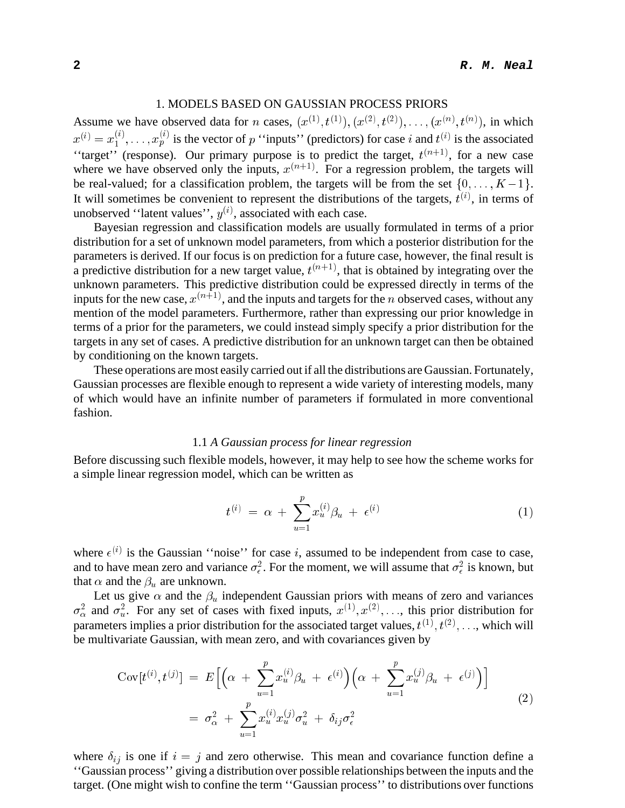# 1. MODELS BASED ON GAUSSIAN PROCESS PRIORS

Assume we have observed data for *n* cases,  $(x^{(1)}, t^{(1)}), (x^{(2)}, t^{(2)}), \ldots, (x^{(n)}, t^{(n)}),$  in which  $x^{(i)} = x_1^{(i)}, \ldots, x_p^{(i)}$  is the vector of p "inputs" (predictors) for case i and  $t^{(i)}$  is the associated "target" (response). Our primary purpose is to predict the target,  $t^{(n+1)}$ , for a new case where we have observed only the inputs,  $x^{(n+1)}$ . For a regression problem, the targets will be real-valued; for a classification problem, the targets will be from the set  $\{0, \ldots, K-1\}$ . It will sometimes be convenient to represent the distributions of the targets,  $t^{(i)}$ , in terms of unobserved "latent values",  $y^{(i)}$ , associated with each case.

Bayesian regression and classification models are usually formulated in terms of a prior distribution for a set of unknown model parameters, from which a posterior distribution for the parameters is derived. If our focus is on prediction for a future case, however, the final result is a predictive distribution for a new target value,  $t^{(n+1)}$ , that is obtained by integrating over the unknown parameters. This predictive distribution could be expressed directly in terms of the inputs for the new case,  $x^{(n+1)}$ , and the inputs and targets for the n observed cases, without any mention of the model parameters. Furthermore, rather than expressing our prior knowledge in terms of a prior for the parameters, we could instead simply specify a prior distribution for the targets in any set of cases. A predictive distribution for an unknown target can then be obtained by conditioning on the known targets.

These operations are most easily carried out if all the distributions are Gaussian. Fortunately, Gaussian processes are flexible enough to represent a wide variety of interesting models, many of which would have an infinite number of parameters if formulated in more conventional fashion.

#### 1.1 *A Gaussian process for linear regression*

Before discussing such flexible models, however, it may help to see how the scheme works for a simple linear regression model, which can be written as

$$
t^{(i)} \ = \ \alpha \ + \ \sum_{u=1}^{p} x_u^{(i)} \beta_u \ + \ \epsilon^{(i)} \tag{1}
$$

where  $\epsilon^{(i)}$  is the Gaussian "noise" for case i, assumed to be independent from case to case, and to have mean zero and variance  $\sigma_{\epsilon}^2$ . For the moment, we will assume that  $\sigma_{\epsilon}^2$  is known, but that  $\alpha$  and the  $\beta_u$  are unknown.

Let us give  $\alpha$  and the  $\beta_u$  independent Gaussian priors with means of zero and variances  $\sigma_{\alpha}^2$  and  $\sigma_u^2$ . For any set of cases with fixed inputs,  $x^{(1)}, x^{(2)}, \ldots$ , this prior distribution for parameters implies a prior distribution for the associated target values,  $t^{(1)}$ ,  $t^{(2)}$ , ..., which will be multivariate Gaussian, with mean zero, and with covariances given by

$$
Cov[t^{(i)}, t^{(j)}] = E\Big[\Big(\alpha + \sum_{u=1}^p x_u^{(i)} \beta_u + \epsilon^{(i)}\Big) \Big(\alpha + \sum_{u=1}^p x_u^{(j)} \beta_u + \epsilon^{(j)}\Big)\Big]
$$
  

$$
= \sigma_\alpha^2 + \sum_{u=1}^p x_u^{(i)} x_u^{(j)} \sigma_u^2 + \delta_{ij} \sigma_\epsilon^2
$$
 (2)

where  $\delta_{ij}$  is one if  $i = j$  and zero otherwise. This mean and covariance function define a ''Gaussian process'' giving a distribution over possible relationships between the inputs and the target. (One might wish to confine the term ''Gaussian process'' to distributions over functions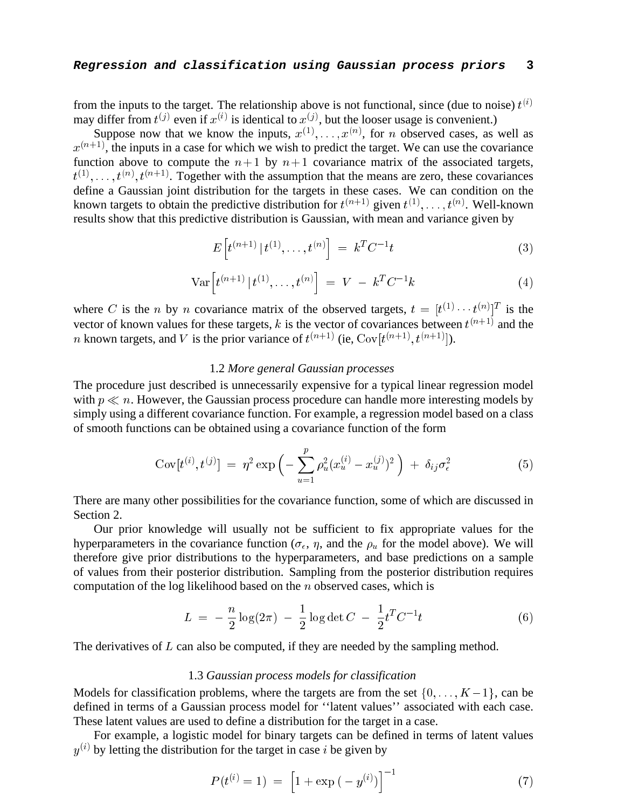# **Regression and classification using Gaussian process priors 3**

from the inputs to the target. The relationship above is not functional, since (due to noise)  $t^{(i)}$ may differ from  $t^{(j)}$  even if  $x^{(i)}$  is identical to  $x^{(j)}$ , but the looser usage is convenient.)

Suppose now that we know the inputs,  $x^{(1)}, \ldots, x^{(n)}$ , for *n* observed cases, as well as  $x^{(n+1)}$ , the inputs in a case for which we wish to predict the target. We can use the covariance function above to compute the  $n+1$  by  $n+1$  covariance matrix of the associated targets,  $t^{(1)}, \ldots, t^{(n)}, t^{(n+1)}$ . Together with the assumption that the means are zero, these covariances define a Gaussian joint distribution for the targets in these cases. We can condition on the known targets to obtain the predictive distribution for  $t^{(n+1)}$  given  $t^{(1)}, \ldots, t^{(n)}$ . Well-known results show that this predictive distribution is Gaussian, with mean and variance given by

$$
E\left[t^{(n+1)} | t^{(1)}, \dots, t^{(n)}\right] = k^T C^{-1} t \tag{3}
$$

$$
\text{Var}\Big[t^{(n+1)} | t^{(1)}, \dots, t^{(n)}\Big] = V - k^T C^{-1} k \tag{4}
$$

where C is the *n* by *n* covariance matrix of the observed targets,  $t = [t^{(1)} \cdots t^{(n)}]^T$  is the vector of known values for these targets, k is the vector of covariances between  $t^{(n+1)}$  and the *n* known targets, and *V* is the prior variance of  $t^{(n+1)}$  (ie,  $Cov[t^{(n+1)}, t^{(n+1)}]$ ).

#### 1.2 *More general Gaussian processes*

The procedure just described is unnecessarily expensive for a typical linear regression model with  $p \ll n$ . However, the Gaussian process procedure can handle more interesting models by simply using a different covariance function. For example, a regression model based on a class of smooth functions can be obtained using a covariance function of the form

$$
Cov[t^{(i)}, t^{(j)}] = \eta^2 \exp\left(-\sum_{u=1}^p \rho_u^2 (x_u^{(i)} - x_u^{(j)})^2\right) + \delta_{ij}\sigma_\epsilon^2 \tag{5}
$$

There are many other possibilities for the covariance function, some of which are discussed in Section 2.

Our prior knowledge will usually not be sufficient to fix appropriate values for the hyperparameters in the covariance function ( $\sigma_{\epsilon}$ ,  $\eta$ , and the  $\rho_u$  for the model above). We will therefore give prior distributions to the hyperparameters, and base predictions on a sample of values from their posterior distribution. Sampling from the posterior distribution requires computation of the log likelihood based on the <sup>n</sup> observed cases, which is

$$
L = -\frac{n}{2}\log(2\pi) - \frac{1}{2}\log\det C - \frac{1}{2}t^T C^{-1}t
$$
\n(6)

The derivatives of  $L$  can also be computed, if they are needed by the sampling method.

#### 1.3 *Gaussian process models for classification*

Models for classification problems, where the targets are from the set  $\{0, \ldots, K-1\}$ , can be defined in terms of a Gaussian process model for ''latent values'' associated with each case. These latent values are used to define a distribution for the target in a case.

For example, a logistic model for binary targets can be defined in terms of latent values  $y^{(i)}$  by letting the distribution for the target in case i be given by

$$
P(t^{(i)} = 1) = \left[1 + \exp(-y^{(i)})\right]^{-1}
$$
 (7)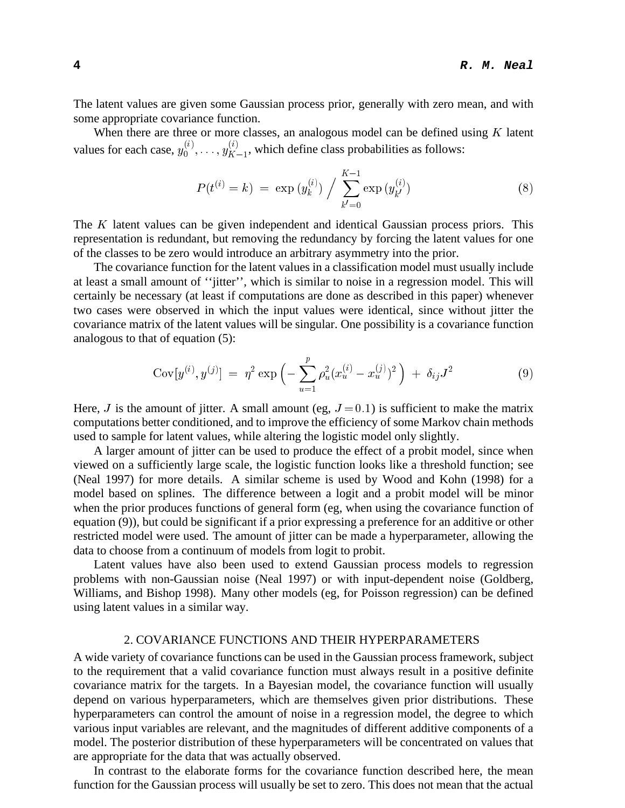The latent values are given some Gaussian process prior, generally with zero mean, and with some appropriate covariance function.

When there are three or more classes, an analogous model can be defined using  $K$  latent values for each case,  $y_0^{(i)}$  $y_K^{(1)},\ldots,y_K^{(n)}$  $K_{-1}^{(i)}$ , which define class probabilities as follows:

$$
P(t^{(i)} = k) = \exp(y_k^{(i)}) / \sum_{k'=0}^{K-1} \exp(y_{k'}^{(i)})
$$
\n(8)

The <sup>K</sup> latent values can be given independent and identical Gaussian process priors. This representation is redundant, but removing the redundancy by forcing the latent values for one of the classes to be zero would introduce an arbitrary asymmetry into the prior.

The covariance function for the latent values in a classification model must usually include at least a small amount of ''jitter'', which is similar to noise in a regression model. This will certainly be necessary (at least if computations are done as described in this paper) whenever two cases were observed in which the input values were identical, since without jitter the covariance matrix of the latent values will be singular. One possibility is a covariance function analogous to that of equation (5):

$$
Cov[y^{(i)}, y^{(j)}] = \eta^2 \exp\left(-\sum_{u=1}^p \rho_u^2 (x_u^{(i)} - x_u^{(j)})^2\right) + \delta_{ij} J^2 \tag{9}
$$

Here, J is the amount of jitter. A small amount (eg,  $J = 0.1$ ) is sufficient to make the matrix computations better conditioned, and to improve the efficiency of some Markov chain methods used to sample for latent values, while altering the logistic model only slightly.

A larger amount of jitter can be used to produce the effect of a probit model, since when viewed on a sufficiently large scale, the logistic function looks like a threshold function; see (Neal 1997) for more details. A similar scheme is used by Wood and Kohn (1998) for a model based on splines. The difference between a logit and a probit model will be minor when the prior produces functions of general form (eg, when using the covariance function of equation (9)), but could be significant if a prior expressing a preference for an additive or other restricted model were used. The amount of jitter can be made a hyperparameter, allowing the data to choose from a continuum of models from logit to probit.

Latent values have also been used to extend Gaussian process models to regression problems with non-Gaussian noise (Neal 1997) or with input-dependent noise (Goldberg, Williams, and Bishop 1998). Many other models (eg, for Poisson regression) can be defined using latent values in a similar way.

# 2. COVARIANCE FUNCTIONS AND THEIR HYPERPARAMETERS

A wide variety of covariance functions can be used in the Gaussian process framework, subject to the requirement that a valid covariance function must always result in a positive definite covariance matrix for the targets. In a Bayesian model, the covariance function will usually depend on various hyperparameters, which are themselves given prior distributions. These hyperparameters can control the amount of noise in a regression model, the degree to which various input variables are relevant, and the magnitudes of different additive components of a model. The posterior distribution of these hyperparameters will be concentrated on values that are appropriate for the data that was actually observed.

In contrast to the elaborate forms for the covariance function described here, the mean function for the Gaussian process will usually be set to zero. This does not mean that the actual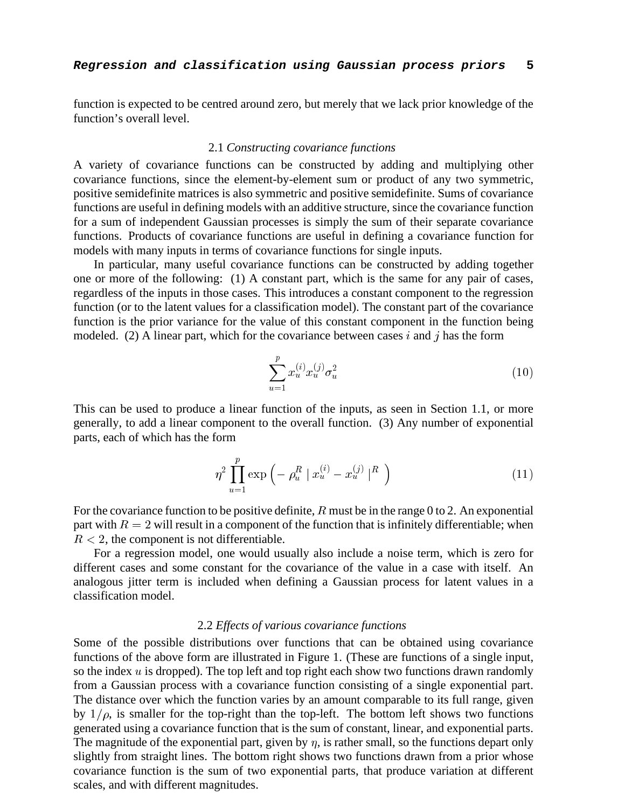function is expected to be centred around zero, but merely that we lack prior knowledge of the function's overall level.

#### 2.1 *Constructing covariance functions*

A variety of covariance functions can be constructed by adding and multiplying other covariance functions, since the element-by-element sum or product of any two symmetric, positive semidefinite matrices is also symmetric and positive semidefinite. Sums of covariance functions are useful in defining models with an additive structure, since the covariance function for a sum of independent Gaussian processes is simply the sum of their separate covariance functions. Products of covariance functions are useful in defining a covariance function for models with many inputs in terms of covariance functions for single inputs.

In particular, many useful covariance functions can be constructed by adding together one or more of the following: (1) A constant part, which is the same for any pair of cases, regardless of the inputs in those cases. This introduces a constant component to the regression function (or to the latent values for a classification model). The constant part of the covariance function is the prior variance for the value of this constant component in the function being modeled. (2) A linear part, which for the covariance between cases i and j has the form

$$
\sum_{u=1}^{p} x_u^{(i)} x_u^{(j)} \sigma_u^2 \tag{10}
$$

This can be used to produce a linear function of the inputs, as seen in Section 1.1, or more generally, to add a linear component to the overall function. (3) Any number of exponential parts, each of which has the form

$$
\eta^2 \prod_{u=1}^p \exp\left(-\rho_u^R \mid x_u^{(i)} - x_u^{(j)} \mid^R \right) \tag{11}
$$

For the covariance function to be positive definite,  $R$  must be in the range 0 to 2. An exponential part with  $R = 2$  will result in a component of the function that is infinitely differentiable; when  $R < 2$ , the component is not differentiable.

For a regression model, one would usually also include a noise term, which is zero for different cases and some constant for the covariance of the value in a case with itself. An analogous jitter term is included when defining a Gaussian process for latent values in a classification model.

# 2.2 *Effects of various covariance functions*

Some of the possible distributions over functions that can be obtained using covariance functions of the above form are illustrated in Figure 1. (These are functions of a single input, so the index  $u$  is dropped). The top left and top right each show two functions drawn randomly from a Gaussian process with a covariance function consisting of a single exponential part. The distance over which the function varies by an amount comparable to its full range, given by  $1/\rho$ , is smaller for the top-right than the top-left. The bottom left shows two functions generated using a covariance function that is the sum of constant, linear, and exponential parts. The magnitude of the exponential part, given by  $\eta$ , is rather small, so the functions depart only slightly from straight lines. The bottom right shows two functions drawn from a prior whose covariance function is the sum of two exponential parts, that produce variation at different scales, and with different magnitudes.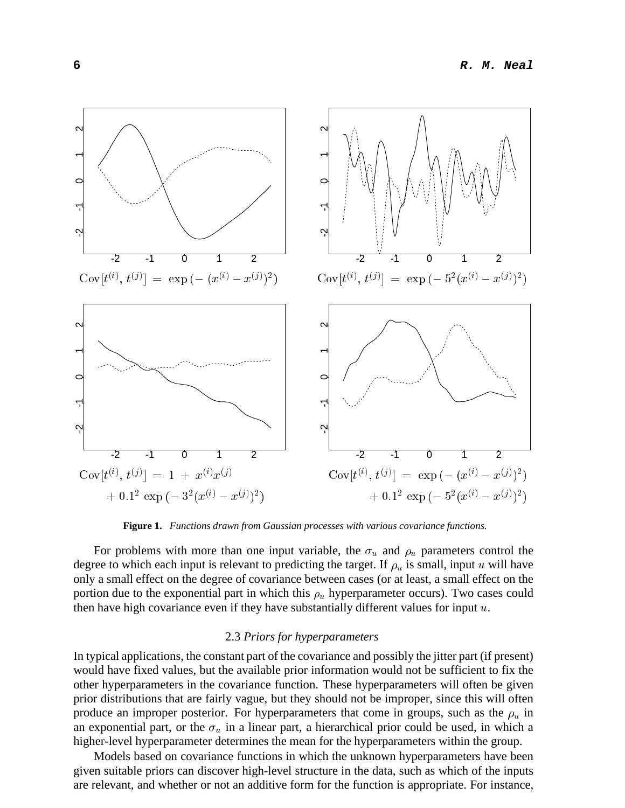

**Figure 1.** *Functions drawn from Gaussian processes with various covariance functions.*

For problems with more than one input variable, the  $\sigma_u$  and  $\rho_u$  parameters control the degree to which each input is relevant to predicting the target. If  $\rho_u$  is small, input u will have only a small effect on the degree of covariance between cases (or at least, a small effect on the portion due to the exponential part in which this  $\rho_u$  hyperparameter occurs). Two cases could then have high covariance even if they have substantially different values for input  $u$ .

#### 2.3 *Priors for hyperparameters*

In typical applications, the constant part of the covariance and possibly the jitter part (if present) would have fixed values, but the available prior information would not be sufficient to fix the other hyperparameters in the covariance function. These hyperparameters will often be given prior distributions that are fairly vague, but they should not be improper, since this will often produce an improper posterior. For hyperparameters that come in groups, such as the  $\rho_u$  in an exponential part, or the  $\sigma_u$  in a linear part, a hierarchical prior could be used, in which a higher-level hyperparameter determines the mean for the hyperparameters within the group.

Models based on covariance functions in which the unknown hyperparameters have been given suitable priors can discover high-level structure in the data, such as which of the inputs are relevant, and whether or not an additive form for the function is appropriate. For instance,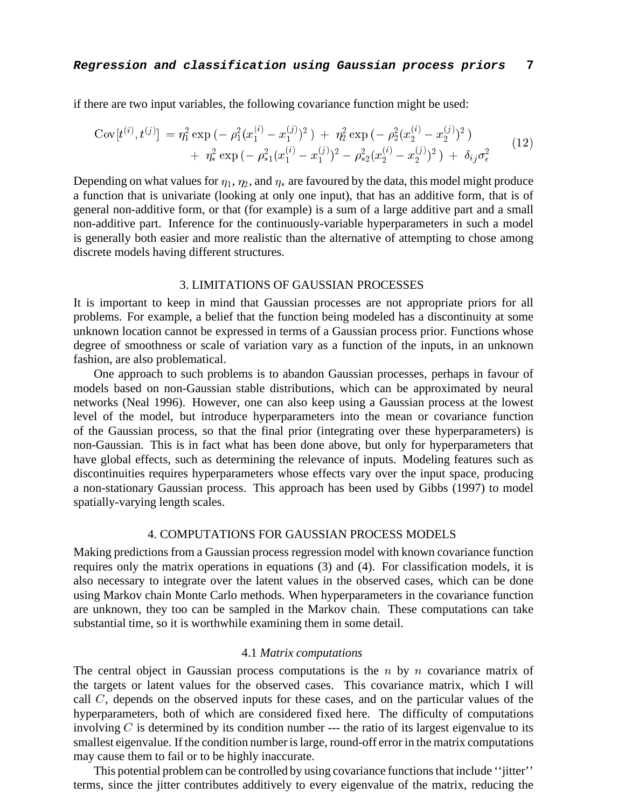if there are two input variables, the following covariance function might be used:

$$
Cov[t^{(i)}, t^{(j)}] = \eta_1^2 \exp(-\rho_1^2 (x_1^{(i)} - x_1^{(j)})^2) + \eta_2^2 \exp(-\rho_2^2 (x_2^{(i)} - x_2^{(j)})^2) + \eta_*^2 \exp(-\rho_{*1}^2 (x_1^{(i)} - x_1^{(j)})^2 - \rho_{*2}^2 (x_2^{(i)} - x_2^{(j)})^2) + \delta_{ij} \sigma_{\epsilon}^2
$$
(12)

Depending on what values for  $\eta_1$ ,  $\eta_2$ , and  $\eta_*$  are favoured by the data, this model might produce a function that is univariate (looking at only one input), that has an additive form, that is of general non-additive form, or that (for example) is a sum of a large additive part and a small non-additive part. Inference for the continuously-variable hyperparameters in such a model is generally both easier and more realistic than the alternative of attempting to chose among discrete models having different structures.

## 3. LIMITATIONS OF GAUSSIAN PROCESSES

It is important to keep in mind that Gaussian processes are not appropriate priors for all problems. For example, a belief that the function being modeled has a discontinuity at some unknown location cannot be expressed in terms of a Gaussian process prior. Functions whose degree of smoothness or scale of variation vary as a function of the inputs, in an unknown fashion, are also problematical.

One approach to such problems is to abandon Gaussian processes, perhaps in favour of models based on non-Gaussian stable distributions, which can be approximated by neural networks (Neal 1996). However, one can also keep using a Gaussian process at the lowest level of the model, but introduce hyperparameters into the mean or covariance function of the Gaussian process, so that the final prior (integrating over these hyperparameters) is non-Gaussian. This is in fact what has been done above, but only for hyperparameters that have global effects, such as determining the relevance of inputs. Modeling features such as discontinuities requires hyperparameters whose effects vary over the input space, producing a non-stationary Gaussian process. This approach has been used by Gibbs (1997) to model spatially-varying length scales.

# 4. COMPUTATIONS FOR GAUSSIAN PROCESS MODELS

Making predictions from a Gaussian process regression model with known covariance function requires only the matrix operations in equations (3) and (4). For classification models, it is also necessary to integrate over the latent values in the observed cases, which can be done using Markov chain Monte Carlo methods. When hyperparameters in the covariance function are unknown, they too can be sampled in the Markov chain. These computations can take substantial time, so it is worthwhile examining them in some detail.

#### 4.1 *Matrix computations*

The central object in Gaussian process computations is the  $n$  by  $n$  covariance matrix of the targets or latent values for the observed cases. This covariance matrix, which I will call  $C$ , depends on the observed inputs for these cases, and on the particular values of the hyperparameters, both of which are considered fixed here. The difficulty of computations involving  $C$  is determined by its condition number --- the ratio of its largest eigenvalue to its smallest eigenvalue. If the condition number is large, round-off error in the matrix computations may cause them to fail or to be highly inaccurate.

This potential problem can be controlled by using covariance functions that include ''jitter'' terms, since the jitter contributes additively to every eigenvalue of the matrix, reducing the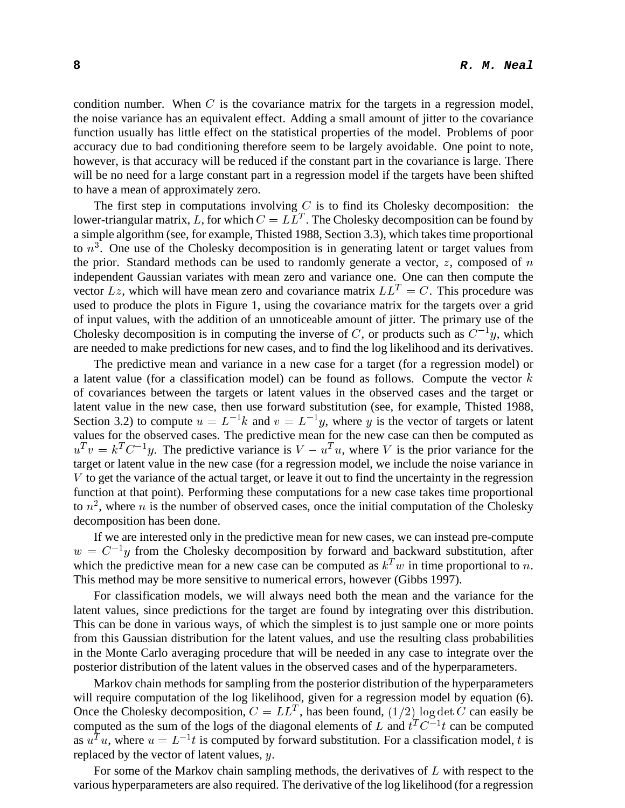condition number. When  $C$  is the covariance matrix for the targets in a regression model, the noise variance has an equivalent effect. Adding a small amount of jitter to the covariance function usually has little effect on the statistical properties of the model. Problems of poor accuracy due to bad conditioning therefore seem to be largely avoidable. One point to note, however, is that accuracy will be reduced if the constant part in the covariance is large. There will be no need for a large constant part in a regression model if the targets have been shifted to have a mean of approximately zero.

The first step in computations involving  $C$  is to find its Cholesky decomposition: the lower-triangular matrix, L, for which  $C = LL^T$ . The Cholesky decomposition can be found by a simple algorithm (see, for example, Thisted 1988, Section 3.3), which takes time proportional to  $n<sup>3</sup>$ . One use of the Cholesky decomposition is in generating latent or target values from the prior. Standard methods can be used to randomly generate a vector,  $z$ , composed of  $n$ independent Gaussian variates with mean zero and variance one. One can then compute the vector  $Lz$ , which will have mean zero and covariance matrix  $LL^T = C$ . This procedure was used to produce the plots in Figure 1, using the covariance matrix for the targets over a grid of input values, with the addition of an unnoticeable amount of jitter. The primary use of the Cholesky decomposition is in computing the inverse of C, or products such as  $C^{-1}y$ , which are needed to make predictions for new cases, and to find the log likelihood and its derivatives.

The predictive mean and variance in a new case for a target (for a regression model) or a latent value (for a classification model) can be found as follows. Compute the vector  $k$ of covariances between the targets or latent values in the observed cases and the target or latent value in the new case, then use forward substitution (see, for example, Thisted 1988, Section 3.2) to compute  $u = L^{-1}k$  and  $v = L^{-1}y$ , where y is the vector of targets or latent values for the observed cases. The predictive mean for the new case can then be computed as  $u^T v = k^T C^{-1} y$ . The predictive variance is  $V - u^T u$ , where V is the prior variance for the target or latent value in the new case (for a regression model, we include the noise variance in <sup>V</sup> to get the variance of the actual target, or leave it out to find the uncertainty in the regression function at that point). Performing these computations for a new case takes time proportional to  $n^2$ , where n is the number of observed cases, once the initial computation of the Cholesky decomposition has been done.

If we are interested only in the predictive mean for new cases, we can instead pre-compute  $w = C^{-1}y$  from the Cholesky decomposition by forward and backward substitution, after which the predictive mean for a new case can be computed as  $k<sup>T</sup>w$  in time proportional to n. This method may be more sensitive to numerical errors, however (Gibbs 1997).

For classification models, we will always need both the mean and the variance for the latent values, since predictions for the target are found by integrating over this distribution. This can be done in various ways, of which the simplest is to just sample one or more points from this Gaussian distribution for the latent values, and use the resulting class probabilities in the Monte Carlo averaging procedure that will be needed in any case to integrate over the posterior distribution of the latent values in the observed cases and of the hyperparameters.

Markov chain methods for sampling from the posterior distribution of the hyperparameters will require computation of the log likelihood, given for a regression model by equation (6). Once the Cholesky decomposition,  $C = LL^T$ , has been found,  $(1/2)$  log det C can easily be computed as the sum of the logs of the diagonal elements of L and  $t^T C^{-1} t$  can be computed as  $u^T u$ , where  $u = L^{-1}t$  is computed by forward substitution. For a classification model, t is replaced by the vector of latent values,  $y$ .

For some of the Markov chain sampling methods, the derivatives of  $L$  with respect to the various hyperparameters are also required. The derivative of the log likelihood (for a regression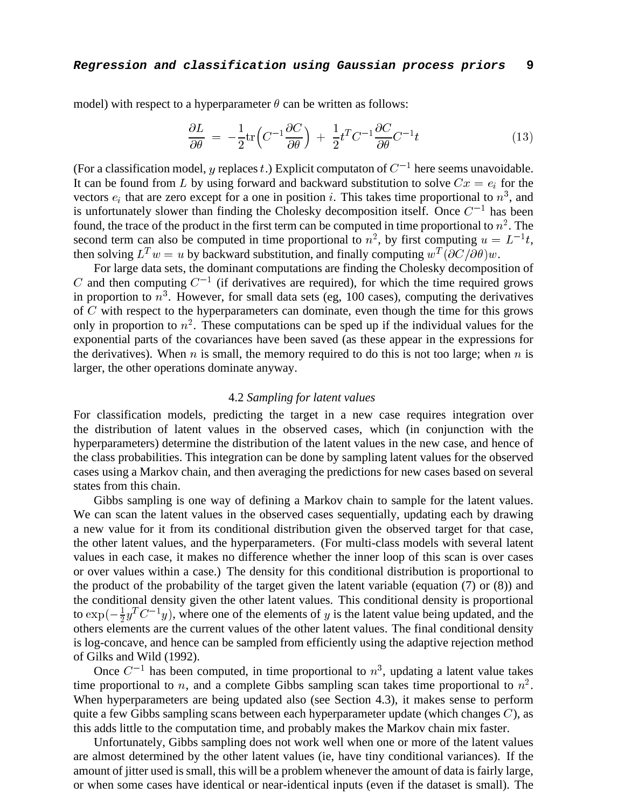model) with respect to a hyperparameter  $\theta$  can be written as follows:

$$
\frac{\partial L}{\partial \theta} = -\frac{1}{2} \text{tr} \left( C^{-1} \frac{\partial C}{\partial \theta} \right) + \frac{1}{2} t^T C^{-1} \frac{\partial C}{\partial \theta} C^{-1} t \tag{13}
$$

(For a classification model, y replaces t.) Explicit computaton of  $C^{-1}$  here seems unavoidable. It can be found from L by using forward and backward substitution to solve  $Cx = e_i$  for the vectors  $e_i$  that are zero except for a one in position i. This takes time proportional to  $n^3$ , and is unfortunately slower than finding the Cholesky decomposition itself. Once  $C^{-1}$  has been found, the trace of the product in the first term can be computed in time proportional to  $n^2$ . The second term can also be computed in time proportional to  $n^2$ , by first computing  $u = L^{-1}t$ , then solving  $L^Tw = u$  by backward substitution, and finally computing  $w^T(\partial C/\partial \theta)w$ .

For large data sets, the dominant computations are finding the Cholesky decomposition of C and then computing  $C^{-1}$  (if derivatives are required), for which the time required grows in proportion to  $n<sup>3</sup>$ . However, for small data sets (eg, 100 cases), computing the derivatives of <sup>C</sup> with respect to the hyperparameters can dominate, even though the time for this grows only in proportion to  $n^2$ . These computations can be sped up if the individual values for the exponential parts of the covariances have been saved (as these appear in the expressions for the derivatives). When  $n$  is small, the memory required to do this is not too large; when  $n$  is larger, the other operations dominate anyway.

## 4.2 *Sampling for latent values*

For classification models, predicting the target in a new case requires integration over the distribution of latent values in the observed cases, which (in conjunction with the hyperparameters) determine the distribution of the latent values in the new case, and hence of the class probabilities. This integration can be done by sampling latent values for the observed cases using a Markov chain, and then averaging the predictions for new cases based on several states from this chain.

Gibbs sampling is one way of defining a Markov chain to sample for the latent values. We can scan the latent values in the observed cases sequentially, updating each by drawing a new value for it from its conditional distribution given the observed target for that case, the other latent values, and the hyperparameters. (For multi-class models with several latent values in each case, it makes no difference whether the inner loop of this scan is over cases or over values within a case.) The density for this conditional distribution is proportional to the product of the probability of the target given the latent variable (equation (7) or (8)) and the conditional density given the other latent values. This conditional density is proportional to  $\exp(-\frac{1}{2}y^T C^{-1}y)$ , where one of the elements of y is the latent value being updated, and the others elements are the current values of the other latent values. The final conditional density is log-concave, and hence can be sampled from efficiently using the adaptive rejection method of Gilks and Wild (1992).

Once  $C^{-1}$  has been computed, in time proportional to  $n^3$ , updating a latent value takes time proportional to n, and a complete Gibbs sampling scan takes time proportional to  $n^2$ . When hyperparameters are being updated also (see Section 4.3), it makes sense to perform quite a few Gibbs sampling scans between each hyperparameter update (which changes  $C$ ), as this adds little to the computation time, and probably makes the Markov chain mix faster.

Unfortunately, Gibbs sampling does not work well when one or more of the latent values are almost determined by the other latent values (ie, have tiny conditional variances). If the amount of jitter used is small, this will be a problem whenever the amount of data is fairly large, or when some cases have identical or near-identical inputs (even if the dataset is small). The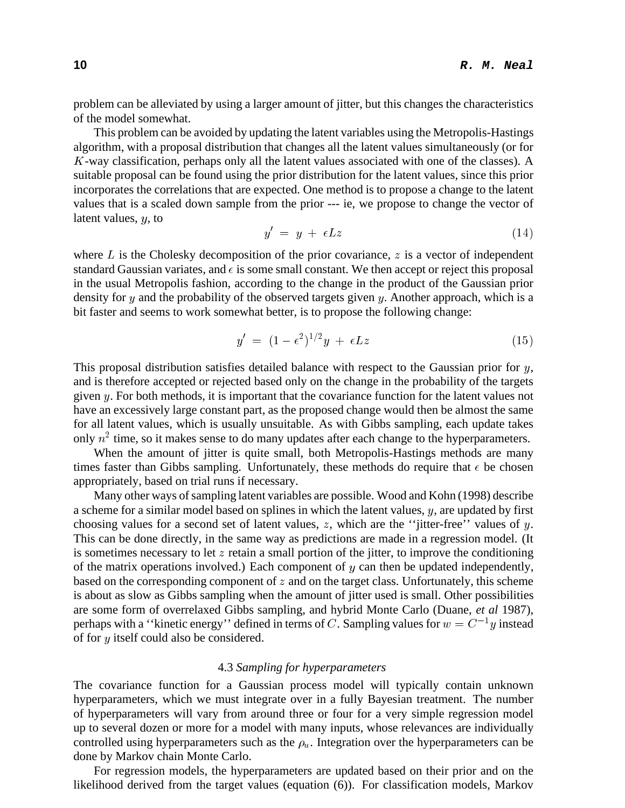problem can be alleviated by using a larger amount of jitter, but this changes the characteristics of the model somewhat.

This problem can be avoided by updating the latent variables using the Metropolis-Hastings algorithm, with a proposal distribution that changes all the latent values simultaneously (or for <sup>K</sup>-way classification, perhaps only all the latent values associated with one of the classes). A suitable proposal can be found using the prior distribution for the latent values, since this prior incorporates the correlations that are expected. One method is to propose a change to the latent values that is a scaled down sample from the prior --- ie, we propose to change the vector of latent values, <sup>y</sup>, to

$$
y' = y + \epsilon L z \tag{14}
$$

where  $L$  is the Cholesky decomposition of the prior covariance,  $z$  is a vector of independent standard Gaussian variates, and  $\epsilon$  is some small constant. We then accept or reject this proposal in the usual Metropolis fashion, according to the change in the product of the Gaussian prior density for  $y$  and the probability of the observed targets given  $y$ . Another approach, which is a bit faster and seems to work somewhat better, is to propose the following change:

$$
y' = (1 - \epsilon^2)^{1/2} y + \epsilon L z \tag{15}
$$

This proposal distribution satisfies detailed balance with respect to the Gaussian prior for  $y$ , and is therefore accepted or rejected based only on the change in the probability of the targets given  $y$ . For both methods, it is important that the covariance function for the latent values not have an excessively large constant part, as the proposed change would then be almost the same for all latent values, which is usually unsuitable. As with Gibbs sampling, each update takes only  $n^2$  time, so it makes sense to do many updates after each change to the hyperparameters.

When the amount of jitter is quite small, both Metropolis-Hastings methods are many times faster than Gibbs sampling. Unfortunately, these methods do require that  $\epsilon$  be chosen appropriately, based on trial runs if necessary.

Many other ways of sampling latent variables are possible. Wood and Kohn (1998) describe a scheme for a similar model based on splines in which the latent values, <sup>y</sup>, are updated by first choosing values for a second set of latent values, z, which are the "jitter-free" values of  $y$ . This can be done directly, in the same way as predictions are made in a regression model. (It is sometimes necessary to let  $z$  retain a small portion of the jitter, to improve the conditioning of the matrix operations involved.) Each component of  $y$  can then be updated independently, based on the corresponding component of  $z$  and on the target class. Unfortunately, this scheme is about as slow as Gibbs sampling when the amount of jitter used is small. Other possibilities are some form of overrelaxed Gibbs sampling, and hybrid Monte Carlo (Duane, *et al* 1987), perhaps with a "kinetic energy" defined in terms of C. Sampling values for  $w = C^{-1}y$  instead of for <sup>y</sup> itself could also be considered.

## 4.3 *Sampling for hyperparameters*

The covariance function for a Gaussian process model will typically contain unknown hyperparameters, which we must integrate over in a fully Bayesian treatment. The number of hyperparameters will vary from around three or four for a very simple regression model up to several dozen or more for a model with many inputs, whose relevances are individually controlled using hyperparameters such as the  $\rho_u$ . Integration over the hyperparameters can be done by Markov chain Monte Carlo.

For regression models, the hyperparameters are updated based on their prior and on the likelihood derived from the target values (equation (6)). For classification models, Markov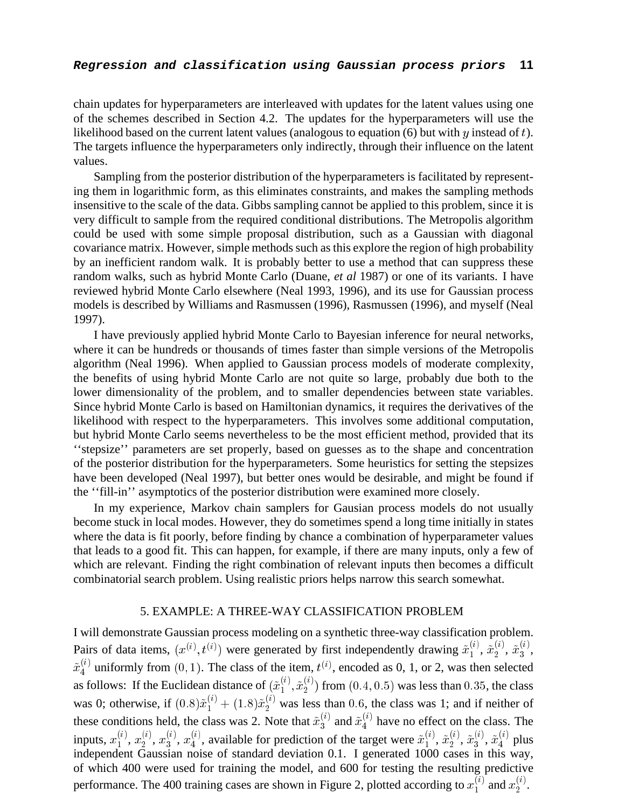# **Regression and classification using Gaussian process priors 11**

chain updates for hyperparameters are interleaved with updates for the latent values using one of the schemes described in Section 4.2. The updates for the hyperparameters will use the likelihood based on the current latent values (analogous to equation  $(6)$  but with y instead of t). The targets influence the hyperparameters only indirectly, through their influence on the latent values.

Sampling from the posterior distribution of the hyperparameters is facilitated by representing them in logarithmic form, as this eliminates constraints, and makes the sampling methods insensitive to the scale of the data. Gibbs sampling cannot be applied to this problem, since it is very difficult to sample from the required conditional distributions. The Metropolis algorithm could be used with some simple proposal distribution, such as a Gaussian with diagonal covariance matrix. However, simple methods such as this explore the region of high probability by an inefficient random walk. It is probably better to use a method that can suppress these random walks, such as hybrid Monte Carlo (Duane, *et al* 1987) or one of its variants. I have reviewed hybrid Monte Carlo elsewhere (Neal 1993, 1996), and its use for Gaussian process models is described by Williams and Rasmussen (1996), Rasmussen (1996), and myself (Neal 1997).

I have previously applied hybrid Monte Carlo to Bayesian inference for neural networks, where it can be hundreds or thousands of times faster than simple versions of the Metropolis algorithm (Neal 1996). When applied to Gaussian process models of moderate complexity, the benefits of using hybrid Monte Carlo are not quite so large, probably due both to the lower dimensionality of the problem, and to smaller dependencies between state variables. Since hybrid Monte Carlo is based on Hamiltonian dynamics, it requires the derivatives of the likelihood with respect to the hyperparameters. This involves some additional computation, but hybrid Monte Carlo seems nevertheless to be the most efficient method, provided that its ''stepsize'' parameters are set properly, based on guesses as to the shape and concentration of the posterior distribution for the hyperparameters. Some heuristics for setting the stepsizes have been developed (Neal 1997), but better ones would be desirable, and might be found if the ''fill-in'' asymptotics of the posterior distribution were examined more closely.

In my experience, Markov chain samplers for Gausian process models do not usually become stuck in local modes. However, they do sometimes spend a long time initially in states where the data is fit poorly, before finding by chance a combination of hyperparameter values that leads to a good fit. This can happen, for example, if there are many inputs, only a few of which are relevant. Finding the right combination of relevant inputs then becomes a difficult combinatorial search problem. Using realistic priors helps narrow this search somewhat.

# 5. EXAMPLE: A THREE-WAY CLASSIFICATION PROBLEM

I will demonstrate Gaussian process modeling on a synthetic three-way classification problem. Pairs of data items,  $(x^{(i)}, t^{(i)})$  were generated by first independently drawing  $\tilde{x}_1^{(i)}$  $\tilde{x}_2^{(i)}, \, \tilde{x}_2^{(i)}$  $\tilde{x}_3^{(i)},\ \tilde{x}_3^{(i)}$  $\frac{\binom{u}{3}}{3}$  $\tilde{x}_4^{(i)}$  uniformly from  $(0, 1)$ . The class of the item,  $t^{(i)}$ , encoded as 0, 1, or 2, was then selected as follows: If the Euclidean distance of  $(\tilde{x}_1^{(i)}, \tilde{x}_2^{(i)})$  from  $(0.4, 0.5)$  was less than 0.35, the class was 0; otherwise, if  $(0.8)\tilde{x}_1^{(i)} + (1.8)\tilde{x}_2^{(i)}$  was less than 0.6, the class was 1; and if neither of these conditions held, the class was 2. Note that  $\tilde{x}_3^{(i)}$  and  $\tilde{x}_4^{(i)}$  have no effect on the class. The inputs,  $x_1^{(i)}$  $x_1^{(i)},\, x_2^{(i)}$  $x_2^{(i)},\,x_3^{(i)}$  $x_3^{\scriptscriptstyle (i)},\,x_4^{\scriptscriptstyle (i)}$  $\tilde{A}_{4}^{(i)}$ , available for prediction of the target were  $\tilde{x}_{1}^{(i)}$  $\tilde{x}_2^{(i)}, \, \tilde{x}_2^{(i)}$  $\tilde{x}_3^{_{\cup\prime}},\, \tilde{x}_3^{_{\cup\prime}}$  $\tilde{x}_4^{(i)}$ ,  $\tilde{x}_4^{(i)}$  plus independent Gaussian noise of standard deviation 0.1. I generated 1000 cases in this way, of which 400 were used for training the model, and 600 for testing the resulting predictive performance. The 400 training cases are shown in Figure 2, plotted according to  $x_1^{(i)}$  and  $x_2^{(i)}$ .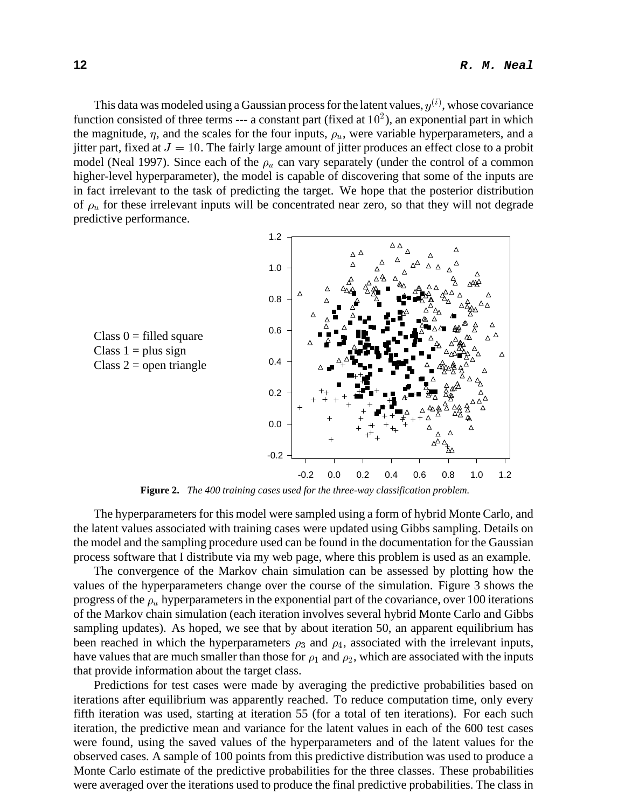This data was modeled using a Gaussian process for the latent values,  $y^{(i)}$ , whose covariance function consisted of three terms --- a constant part (fixed at  $10<sup>2</sup>$ ), an exponential part in which the magnitude,  $\eta$ , and the scales for the four inputs,  $\rho_u$ , were variable hyperparameters, and a jitter part, fixed at  $J = 10$ . The fairly large amount of jitter produces an effect close to a probit model (Neal 1997). Since each of the  $\rho_u$  can vary separately (under the control of a common higher-level hyperparameter), the model is capable of discovering that some of the inputs are in fact irrelevant to the task of predicting the target. We hope that the posterior distribution of  $\rho_u$  for these irrelevant inputs will be concentrated near zero, so that they will not degrade predictive performance.



**Figure 2.** *The 400 training cases used for the three-way classification problem.*

The hyperparameters for this model were sampled using a form of hybrid Monte Carlo, and the latent values associated with training cases were updated using Gibbs sampling. Details on the model and the sampling procedure used can be found in the documentation for the Gaussian process software that I distribute via my web page, where this problem is used as an example.

The convergence of the Markov chain simulation can be assessed by plotting how the values of the hyperparameters change over the course of the simulation. Figure 3 shows the progress of the  $\rho_u$  hyperparameters in the exponential part of the covariance, over 100 iterations of the Markov chain simulation (each iteration involves several hybrid Monte Carlo and Gibbs sampling updates). As hoped, we see that by about iteration 50, an apparent equilibrium has been reached in which the hyperparameters  $\rho_3$  and  $\rho_4$ , associated with the irrelevant inputs, have values that are much smaller than those for  $\rho_1$  and  $\rho_2$ , which are associated with the inputs that provide information about the target class.

Predictions for test cases were made by averaging the predictive probabilities based on iterations after equilibrium was apparently reached. To reduce computation time, only every fifth iteration was used, starting at iteration 55 (for a total of ten iterations). For each such iteration, the predictive mean and variance for the latent values in each of the 600 test cases were found, using the saved values of the hyperparameters and of the latent values for the observed cases. A sample of 100 points from this predictive distribution was used to produce a Monte Carlo estimate of the predictive probabilities for the three classes. These probabilities were averaged over the iterations used to produce the final predictive probabilities. The class in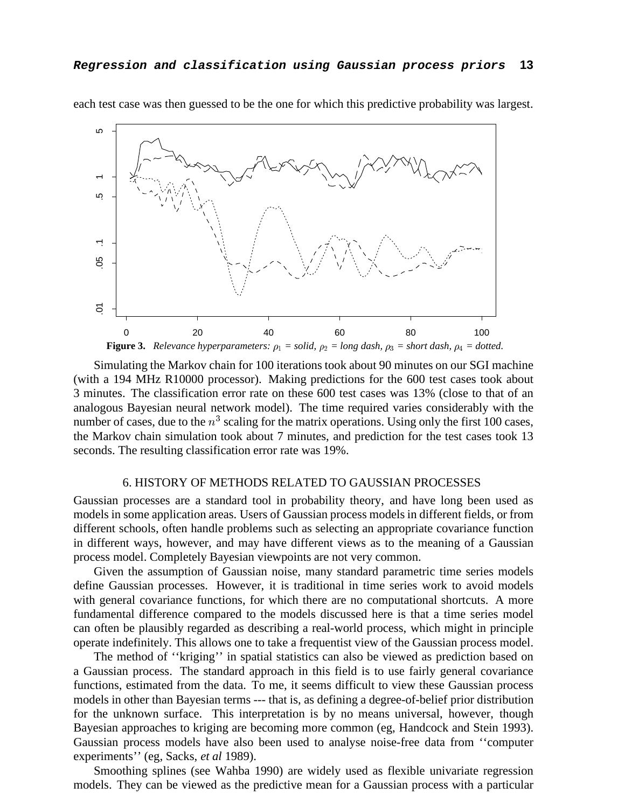

each test case was then guessed to be the one for which this predictive probability was largest.

Simulating the Markov chain for 100 iterations took about 90 minutes on our SGI machine (with a 194 MHz R10000 processor). Making predictions for the 600 test cases took about 3 minutes. The classification error rate on these 600 test cases was 13% (close to that of an analogous Bayesian neural network model). The time required varies considerably with the number of cases, due to the  $n<sup>3</sup>$  scaling for the matrix operations. Using only the first 100 cases, the Markov chain simulation took about 7 minutes, and prediction for the test cases took 13 seconds. The resulting classification error rate was 19%.

# 6. HISTORY OF METHODS RELATED TO GAUSSIAN PROCESSES

Gaussian processes are a standard tool in probability theory, and have long been used as models in some application areas. Users of Gaussian process models in different fields, or from different schools, often handle problems such as selecting an appropriate covariance function in different ways, however, and may have different views as to the meaning of a Gaussian process model. Completely Bayesian viewpoints are not very common.

Given the assumption of Gaussian noise, many standard parametric time series models define Gaussian processes. However, it is traditional in time series work to avoid models with general covariance functions, for which there are no computational shortcuts. A more fundamental difference compared to the models discussed here is that a time series model can often be plausibly regarded as describing a real-world process, which might in principle operate indefinitely. This allows one to take a frequentist view of the Gaussian process model.

The method of ''kriging'' in spatial statistics can also be viewed as prediction based on a Gaussian process. The standard approach in this field is to use fairly general covariance functions, estimated from the data. To me, it seems difficult to view these Gaussian process models in other than Bayesian terms --- that is, as defining a degree-of-belief prior distribution for the unknown surface. This interpretation is by no means universal, however, though Bayesian approaches to kriging are becoming more common (eg, Handcock and Stein 1993). Gaussian process models have also been used to analyse noise-free data from ''computer experiments'' (eg, Sacks, *et al* 1989).

Smoothing splines (see Wahba 1990) are widely used as flexible univariate regression models. They can be viewed as the predictive mean for a Gaussian process with a particular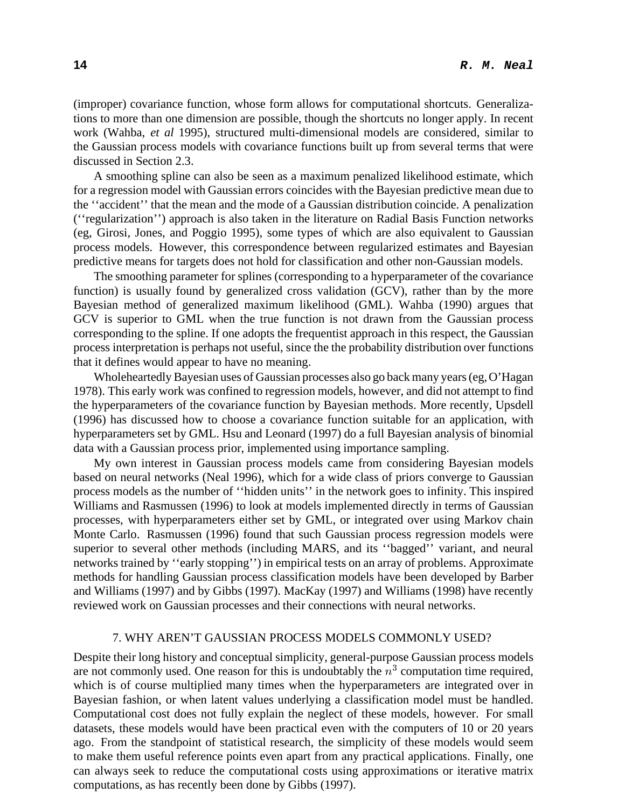(improper) covariance function, whose form allows for computational shortcuts. Generalizations to more than one dimension are possible, though the shortcuts no longer apply. In recent work (Wahba, *et al* 1995), structured multi-dimensional models are considered, similar to the Gaussian process models with covariance functions built up from several terms that were discussed in Section 2.3.

A smoothing spline can also be seen as a maximum penalized likelihood estimate, which for a regression model with Gaussian errors coincides with the Bayesian predictive mean due to the ''accident'' that the mean and the mode of a Gaussian distribution coincide. A penalization (''regularization'') approach is also taken in the literature on Radial Basis Function networks (eg, Girosi, Jones, and Poggio 1995), some types of which are also equivalent to Gaussian process models. However, this correspondence between regularized estimates and Bayesian predictive means for targets does not hold for classification and other non-Gaussian models.

The smoothing parameter for splines (corresponding to a hyperparameter of the covariance function) is usually found by generalized cross validation (GCV), rather than by the more Bayesian method of generalized maximum likelihood (GML). Wahba (1990) argues that GCV is superior to GML when the true function is not drawn from the Gaussian process corresponding to the spline. If one adopts the frequentist approach in this respect, the Gaussian process interpretation is perhaps not useful, since the the probability distribution over functions that it defines would appear to have no meaning.

Wholeheartedly Bayesian uses of Gaussian processes also go back many years (eg, O'Hagan 1978). This early work was confined to regression models, however, and did not attempt to find the hyperparameters of the covariance function by Bayesian methods. More recently, Upsdell (1996) has discussed how to choose a covariance function suitable for an application, with hyperparameters set by GML. Hsu and Leonard (1997) do a full Bayesian analysis of binomial data with a Gaussian process prior, implemented using importance sampling.

My own interest in Gaussian process models came from considering Bayesian models based on neural networks (Neal 1996), which for a wide class of priors converge to Gaussian process models as the number of ''hidden units'' in the network goes to infinity. This inspired Williams and Rasmussen (1996) to look at models implemented directly in terms of Gaussian processes, with hyperparameters either set by GML, or integrated over using Markov chain Monte Carlo. Rasmussen (1996) found that such Gaussian process regression models were superior to several other methods (including MARS, and its ''bagged'' variant, and neural networks trained by ''early stopping'') in empirical tests on an array of problems. Approximate methods for handling Gaussian process classification models have been developed by Barber and Williams (1997) and by Gibbs (1997). MacKay (1997) and Williams (1998) have recently reviewed work on Gaussian processes and their connections with neural networks.

## 7. WHY AREN'T GAUSSIAN PROCESS MODELS COMMONLY USED?

Despite their long history and conceptual simplicity, general-purpose Gaussian process models are not commonly used. One reason for this is undoubtably the  $n<sup>3</sup>$  computation time required, which is of course multiplied many times when the hyperparameters are integrated over in Bayesian fashion, or when latent values underlying a classification model must be handled. Computational cost does not fully explain the neglect of these models, however. For small datasets, these models would have been practical even with the computers of 10 or 20 years ago. From the standpoint of statistical research, the simplicity of these models would seem to make them useful reference points even apart from any practical applications. Finally, one can always seek to reduce the computational costs using approximations or iterative matrix computations, as has recently been done by Gibbs (1997).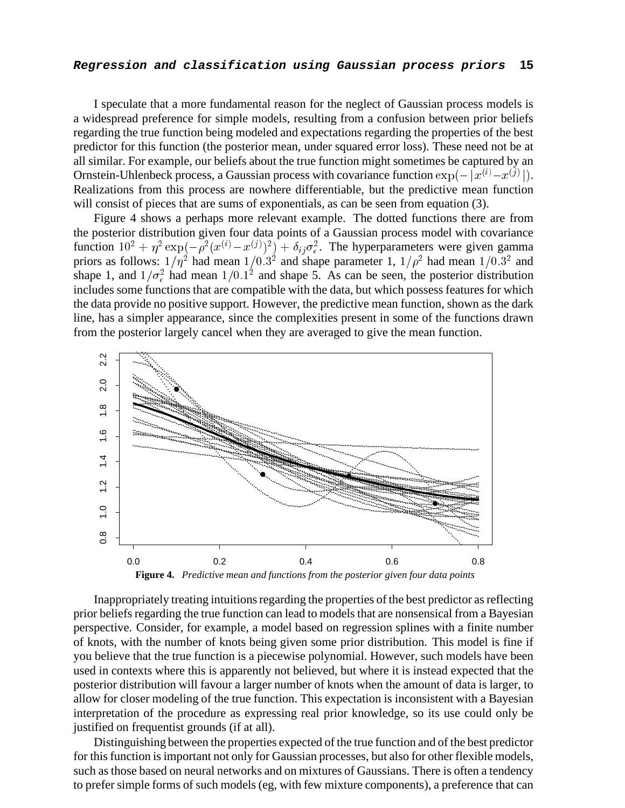## **Regression and classification using Gaussian process priors 15**

I speculate that a more fundamental reason for the neglect of Gaussian process models is a widespread preference for simple models, resulting from a confusion between prior beliefs regarding the true function being modeled and expectations regarding the properties of the best predictor for this function (the posterior mean, under squared error loss). These need not be at all similar. For example, our beliefs about the true function might sometimes be captured by an Ornstein-Uhlenbeck process, a Gaussian process with covariance function  $\exp(-|x^{(i)}-x^{(j)}|)$ . Realizations from this process are nowhere differentiable, but the predictive mean function will consist of pieces that are sums of exponentials, as can be seen from equation (3).

Figure 4 shows a perhaps more relevant example. The dotted functions there are from the posterior distribution given four data points of a Gaussian process model with covariance function  $10^2 + \eta^2 \exp(-\rho^2(x^{(i)} - x^{(j)})^2) + \delta_{ij}\sigma_{\epsilon}^2$ . The hyperparameters were given gamma priors as follows:  $1/\eta^2$  had mean  $1/0.3^2$  and shape parameter 1,  $1/\rho^2$  had mean  $1/0.3^2$  and shape 1, and  $1/\sigma_{\epsilon}^2$  had mean  $1/0.1^2$  and shape 5. As can be seen, the posterior distribution includes some functions that are compatible with the data, but which possess features for which the data provide no positive support. However, the predictive mean function, shown as the dark line, has a simpler appearance, since the complexities present in some of the functions drawn from the posterior largely cancel when they are averaged to give the mean function.



Inappropriately treating intuitions regarding the properties of the best predictor as reflecting prior beliefs regarding the true function can lead to models that are nonsensical from a Bayesian perspective. Consider, for example, a model based on regression splines with a finite number of knots, with the number of knots being given some prior distribution. This model is fine if you believe that the true function is a piecewise polynomial. However, such models have been used in contexts where this is apparently not believed, but where it is instead expected that the posterior distribution will favour a larger number of knots when the amount of data is larger, to allow for closer modeling of the true function. This expectation is inconsistent with a Bayesian interpretation of the procedure as expressing real prior knowledge, so its use could only be justified on frequentist grounds (if at all).

Distinguishing between the properties expected of the true function and of the best predictor for this function is important not only for Gaussian processes, but also for other flexible models, such as those based on neural networks and on mixtures of Gaussians. There is often a tendency to prefer simple forms of such models (eg, with few mixture components), a preference that can